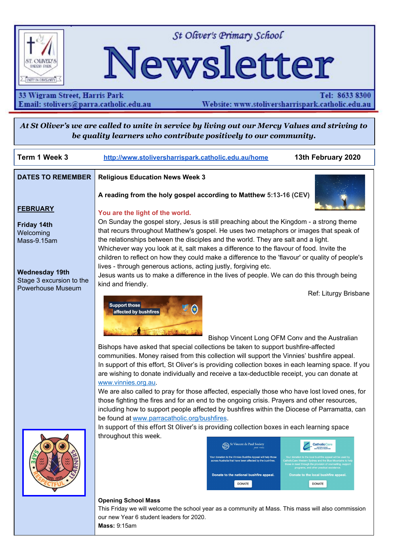

St Oliver's Primary School

# Newsletter

# 33 Wigram Street, Harris Park Email: stolivers@parra.catholic.edu.au

Tel: 8633 8300 Website: www.stoliversharrispark.catholic.edu.au

At St Oliver's we are called to unite in service by living out our Mercy Values and striving to *be quality learners who contribute positively to our community.*

| Term 1 Week 3            | 13th February 2020<br>http://www.stoliversharrispark.catholic.edu.au/home                                                                                                                                                          |
|--------------------------|------------------------------------------------------------------------------------------------------------------------------------------------------------------------------------------------------------------------------------|
| <b>DATES TO REMEMBER</b> | <b>Religious Education News Week 3</b>                                                                                                                                                                                             |
|                          | A reading from the holy gospel according to Matthew 5:13-16 (CEV)                                                                                                                                                                  |
| <b>FEBRUARY</b>          | You are the light of the world.                                                                                                                                                                                                    |
| <b>Friday 14th</b>       | On Sunday the gospel story, Jesus is still preaching about the Kingdom - a strong theme                                                                                                                                            |
| Welcoming                | that recurs throughout Matthew's gospel. He uses two metaphors or images that speak of                                                                                                                                             |
| Mass-9.15am              | the relationships between the disciples and the world. They are salt and a light.<br>Whichever way you look at it, salt makes a difference to the flavour of food. Invite the                                                      |
|                          | children to reflect on how they could make a difference to the 'flavour' or quality of people's                                                                                                                                    |
| <b>Wednesday 19th</b>    | lives - through generous actions, acting justly, forgiving etc.                                                                                                                                                                    |
| Stage 3 excursion to the | Jesus wants us to make a difference in the lives of people. We can do this through being<br>kind and friendly.                                                                                                                     |
| Powerhouse Museum        | Ref: Liturgy Brisbane                                                                                                                                                                                                              |
|                          | <b>Support those</b><br>affected by bushfires                                                                                                                                                                                      |
|                          | Bishop Vincent Long OFM Conv and the Australian                                                                                                                                                                                    |
|                          | Bishops have asked that special collections be taken to support bushfire-affected<br>communities. Money raised from this collection will support the Vinnies' bushfire appeal.                                                     |
|                          | In support of this effort, St Oliver's is providing collection boxes in each learning space. If you                                                                                                                                |
|                          | are wishing to donate individually and receive a tax-deductible receipt, you can donate at<br>www.vinnies.org.au.                                                                                                                  |
|                          | We are also called to pray for those affected, especially those who have lost loved ones, for                                                                                                                                      |
|                          | those fighting the fires and for an end to the ongoing crisis. Prayers and other resources,<br>including how to support people affected by bushfires within the Diocese of Parramatta, can                                         |
|                          | be found at www.parracatholic.org/bushfires.                                                                                                                                                                                       |
|                          | In support of this effort St Oliver's is providing collection boxes in each learning space                                                                                                                                         |
|                          | throughout this week.<br>St Vincent de Paul Society<br><b>CatholicCare</b>                                                                                                                                                         |
|                          | <b>WESTERN SYDNEY</b><br>Your donation to the local bushfire appeal will be used by<br>Your donation to the Vinnies Bushfire Appeal will help those                                                                                |
|                          | CatholicCare Western Sydney and the Blue Mountains to hel<br>across Australia that have been affected by the bushfires.<br>those in need through the provision of counselling, support<br>programs, and other practical assistance |
|                          | Donate to the national bushfire appeal.<br>Donate to the local bushfire appeal.                                                                                                                                                    |
|                          | <b>DONATE</b><br><b>DONATE</b>                                                                                                                                                                                                     |
|                          | <b>Opening School Mass</b>                                                                                                                                                                                                         |
|                          | This Friday we will welcome the school year as a community at Mass. This mass will also commission                                                                                                                                 |
|                          | our new Year 6 student leaders for 2020.                                                                                                                                                                                           |

**Mass:** 9:15am